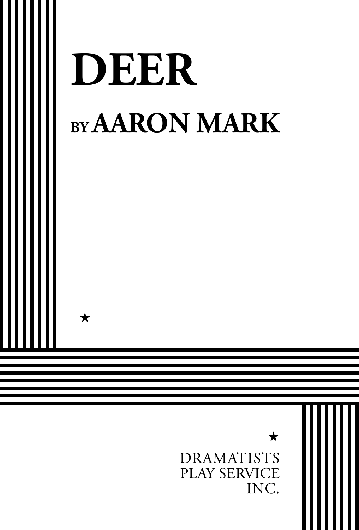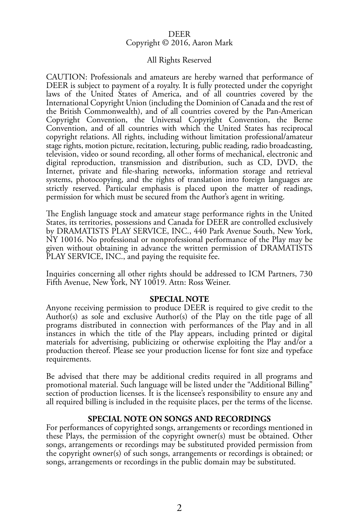#### DEER Copyright © 2016, Aaron Mark

#### All Rights Reserved

CAUTION: Professionals and amateurs are hereby warned that performance of DEER is subject to payment of a royalty. It is fully protected under the copyright laws of the United States of America, and of all countries covered by the International Copyright Union (including the Dominion of Canada and the rest of the British Commonwealth), and of all countries covered by the Pan-American Copyright Convention, the Universal Copyright Convention, the Berne Convention, and of all countries with which the United States has reciprocal copyright relations. All rights, including without limitation professional/amateur stage rights, motion picture, recitation, lecturing, public reading, radio broadcasting, television, video or sound recording, all other forms of mechanical, electronic and digital reproduction, transmission and distribution, such as CD, DVD, the Internet, private and file-sharing networks, information storage and retrieval systems, photocopying, and the rights of translation into foreign languages are strictly reserved. Particular emphasis is placed upon the matter of readings, permission for which must be secured from the Author's agent in writing.

The English language stock and amateur stage performance rights in the United States, its territories, possessions and Canada for DEER are controlled exclusively by DRAMATISTS PLAY SERVICE, INC., 440 Park Avenue South, New York, NY 10016. No professional or nonprofessional performance of the Play may be given without obtaining in advance the written permission of DRAMATISTS PLAY SERVICE, INC., and paying the requisite fee.

Inquiries concerning all other rights should be addressed to ICM Partners, 730 Fifth Avenue, New York, NY 10019. Attn: Ross Weiner.

#### **SPECIAL NOTE**

Anyone receiving permission to produce DEER is required to give credit to the Author(s) as sole and exclusive Author(s) of the Play on the title page of all programs distributed in connection with performances of the Play and in all instances in which the title of the Play appears, including printed or digital materials for advertising, publicizing or otherwise exploiting the Play and/or a production thereof. Please see your production license for font size and typeface requirements.

Be advised that there may be additional credits required in all programs and promotional material. Such language will be listed under the "Additional Billing" section of production licenses. It is the licensee's responsibility to ensure any and all required billing is included in the requisite places, per the terms of the license.

#### **SPECIAL NOTE ON SONGS AND RECORDINGS**

For performances of copyrighted songs, arrangements or recordings mentioned in these Plays, the permission of the copyright owner(s) must be obtained. Other songs, arrangements or recordings may be substituted provided permission from the copyright owner(s) of such songs, arrangements or recordings is obtained; or songs, arrangements or recordings in the public domain may be substituted.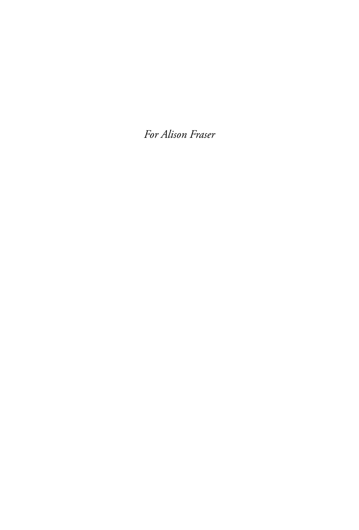*For Alison Fraser*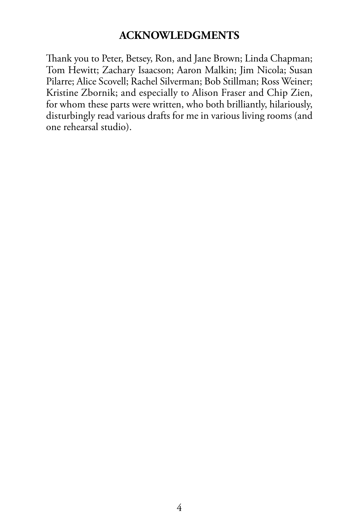## **ACKNOWLEDGMENTS**

Thank you to Peter, Betsey, Ron, and Jane Brown; Linda Chapman; Tom Hewitt; Zachary Isaacson; Aaron Malkin; Jim Nicola; Susan Pilarre; Alice Scovell; Rachel Silverman; Bob Stillman; Ross Weiner; Kristine Zbornik; and especially to Alison Fraser and Chip Zien, for whom these parts were written, who both brilliantly, hilariously, disturbingly read various drafts for me in various living rooms (and one rehearsal studio).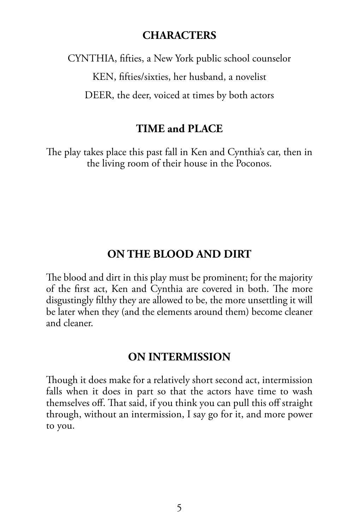#### **CHARACTERS**

CYNTHIA, fifties, a New York public school counselor KEN, fifties/sixties, her husband, a novelist DEER, the deer, voiced at times by both actors

#### **TIME and PLACE**

The play takes place this past fall in Ken and Cynthia's car, then in the living room of their house in the Poconos.

#### **ON THE BLOOD AND DIRT**

The blood and dirt in this play must be prominent; for the majority of the first act, Ken and Cynthia are covered in both. The more disgustingly filthy they are allowed to be, the more unsettling it will be later when they (and the elements around them) become cleaner and cleaner.

## **ON INTERMISSION**

Though it does make for a relatively short second act, intermission falls when it does in part so that the actors have time to wash themselves off. That said, if you think you can pull this off straight through, without an intermission, I say go for it, and more power to you.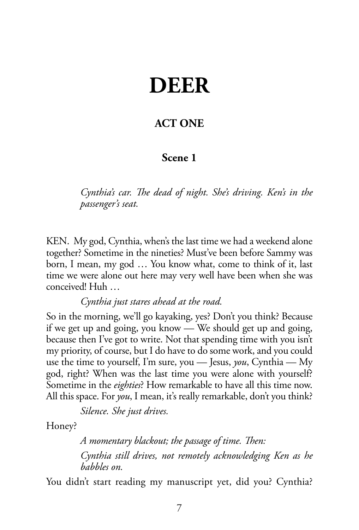# **DEER**

## **ACT ONE**

### **Scene 1**

*Cynthia's car. The dead of night. She's driving. Ken's in the passenger's seat.*

KEN. My god, Cynthia, when's the last time we had a weekend alone together? Sometime in the nineties? Must've been before Sammy was born, I mean, my god … You know what, come to think of it, last time we were alone out here may very well have been when she was conceived! Huh …

*Cynthia just stares ahead at the road.*

So in the morning, we'll go kayaking, yes? Don't you think? Because if we get up and going, you know — We should get up and going, because then I've got to write. Not that spending time with you isn't my priority, of course, but I do have to do some work, and you could use the time to yourself, I'm sure, you — Jesus, *you*, Cynthia — My god, right? When was the last time you were alone with yourself? Sometime in the *eighties*? How remarkable to have all this time now. All this space. For *you*, I mean, it's really remarkable, don't you think?

*Silence. She just drives.*

Honey?

*A momentary blackout; the passage of time. Then: Cynthia still drives, not remotely acknowledging Ken as he babbles on.*

You didn't start reading my manuscript yet, did you? Cynthia?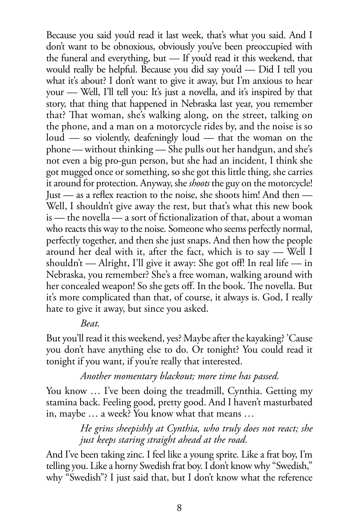Because you said you'd read it last week, that's what you said. And I don't want to be obnoxious, obviously you've been preoccupied with the funeral and everything, but — If you'd read it this weekend, that would really be helpful. Because you did say you'd — Did I tell you what it's about? I don't want to give it away, but I'm anxious to hear your — Well, I'll tell you: It's just a novella, and it's inspired by that story, that thing that happened in Nebraska last year, you remember that? That woman, she's walking along, on the street, talking on the phone, and a man on a motorcycle rides by, and the noise is so loud — so violently, deafeningly loud — that the woman on the phone — without thinking — She pulls out her handgun, and she's not even a big pro-gun person, but she had an incident, I think she got mugged once or something, so she got this little thing, she carries it around for protection. Anyway, she *shoots* the guy on the motorcycle! Just — as a reflex reaction to the noise, she shoots him! And then — Well, I shouldn't give away the rest, but that's what this new book is — the novella — a sort of fictionalization of that, about a woman who reacts this way to the noise. Someone who seems perfectly normal, perfectly together, and then she just snaps. And then how the people around her deal with it, after the fact, which is to say — Well I shouldn't — Alright, I'll give it away: She got off! In real life — in Nebraska, you remember? She's a free woman, walking around with her concealed weapon! So she gets off. In the book. The novella. But it's more complicated than that, of course, it always is. God, I really hate to give it away, but since you asked.

#### *Beat.*

But you'll read it this weekend, yes? Maybe after the kayaking? 'Cause you don't have anything else to do. Or tonight? You could read it tonight if you want, if you're really that interested.

#### *Another momentary blackout; more time has passed.*

You know … I've been doing the treadmill, Cynthia. Getting my stamina back. Feeling good, pretty good. And I haven't masturbated in, maybe … a week? You know what that means …

> *He grins sheepishly at Cynthia, who truly does not react; she just keeps staring straight ahead at the road.*

And I've been taking zinc. I feel like a young sprite. Like a frat boy, I'm telling you. Like a horny Swedish frat boy. I don't know why "Swedish," why "Swedish"? I just said that, but I don't know what the reference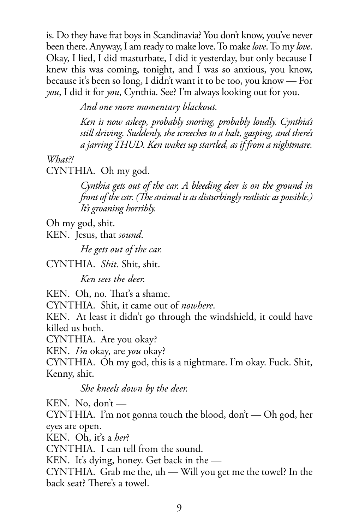is. Do they have frat boys in Scandinavia? You don't know, you've never been there. Anyway, I am ready to make love. To make *love*. To my *love*. Okay, I lied, I did masturbate, I did it yesterday, but only because I knew this was coming, tonight, and I was so anxious, you know, because it's been so long, I didn't want it to be too, you know — For *you*, I did it for *you*, Cynthia. See? I'm always looking out for you.

*And one more momentary blackout.* 

*Ken is now asleep, probably snoring, probably loudly. Cynthia's still driving. Suddenly, she screeches to a halt, gasping, and there's a jarring THUD. Ken wakes up startled, as if from a nightmare.*

*What?!*

CYNTHIA. Oh my god.

*Cynthia gets out of the car. A bleeding deer is on the ground in front of the car. (The animal is as disturbingly realistic as possible.) It's groaning horribly.*

Oh my god, shit.

KEN. Jesus, that *sound*.

*He gets out of the car.*

CYNTHIA. *Shit.* Shit, shit.

*Ken sees the deer.*

KEN. Oh, no. That's a shame.

CYNTHIA. Shit, it came out of *nowhere*.

KEN. At least it didn't go through the windshield, it could have killed us both.

CYNTHIA. Are you okay?

KEN. *I'm* okay, are *you* okay?

CYNTHIA. Oh my god, this is a nightmare. I'm okay. Fuck. Shit, Kenny, shit.

*She kneels down by the deer.*

KEN. No, don't —

CYNTHIA. I'm not gonna touch the blood, don't — Oh god, her eyes are open.

KEN. Oh, it's a *her*?

CYNTHIA. I can tell from the sound.

KEN. It's dying, honey. Get back in the —

CYNTHIA. Grab me the, uh — Will you get me the towel? In the back seat? There's a towel.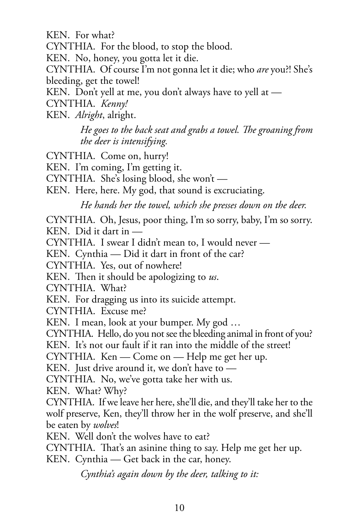KEN. For what?

CYNTHIA. For the blood, to stop the blood.

KEN. No, honey, you gotta let it die.

CYNTHIA. Of course I'm not gonna let it die; who *are* you?! She's bleeding, get the towel!

KEN. Don't yell at me, you don't always have to yell at —

CYNTHIA. *Kenny!*

KEN. *Alright*, alright.

*He goes to the back seat and grabs a towel. The groaning from the deer is intensifying.*

CYNTHIA. Come on, hurry!

KEN. I'm coming, I'm getting it.

CYNTHIA. She's losing blood, she won't —

KEN. Here, here. My god, that sound is excruciating.

*He hands her the towel, which she presses down on the deer.*

CYNTHIA. Oh, Jesus, poor thing, I'm so sorry, baby, I'm so sorry. KEN. Did it dart in —

CYNTHIA. I swear I didn't mean to, I would never —

KEN. Cynthia — Did it dart in front of the car?

CYNTHIA. Yes, out of nowhere!

KEN. Then it should be apologizing to *us*.

CYNTHIA. What?

KEN. For dragging us into its suicide attempt.

CYNTHIA. Excuse me?

KEN. I mean, look at your bumper. My god …

CYNTHIA. Hello, do you not see the bleeding animal in front of you?

KEN. It's not our fault if it ran into the middle of the street!

CYNTHIA. Ken — Come on — Help me get her up.

KEN. Just drive around it, we don't have to —

CYNTHIA. No, we've gotta take her with us.

KEN. What? Why?

CYNTHIA. If we leave her here, she'll die, and they'll take her to the wolf preserve, Ken, they'll throw her in the wolf preserve, and she'll be eaten by *wolves*!

KEN. Well don't the wolves have to eat?

CYNTHIA. That's an asinine thing to say. Help me get her up.

KEN. Cynthia — Get back in the car, honey.

*Cynthia's again down by the deer, talking to it:*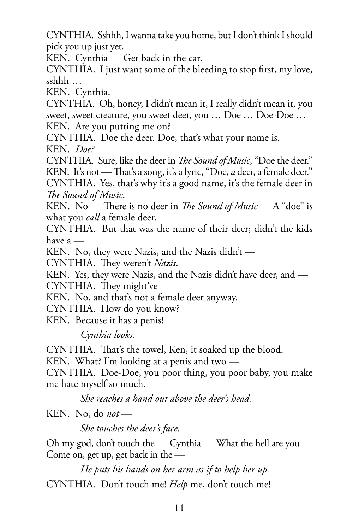CYNTHIA. Sshhh, I wanna take you home, but I don't think I should pick you up just yet.

KEN. Cynthia — Get back in the car.

CYNTHIA. I just want some of the bleeding to stop first, my love, sshhh …

KEN. Cynthia.

CYNTHIA. Oh, honey, I didn't mean it, I really didn't mean it, you sweet, sweet creature, you sweet deer, you … Doe … Doe-Doe …

KEN. Are you putting me on?

CYNTHIA. Doe the deer. Doe, that's what your name is. KEN. *Doe?*

CYNTHIA. Sure, like the deer in *The Sound of Music*, "Doe the deer." KEN. It's not — That's a song, it's a lyric, "Doe, *a* deer, a female deer."

CYNTHIA. Yes, that's why it's a good name, it's the female deer in *The Sound of Music*.

KEN. No — There is no deer in *The Sound of Music* — A "doe" is what you *call* a female deer.

CYNTHIA. But that was the name of their deer; didn't the kids have a —

KEN. No, they were Nazis, and the Nazis didn't —

CYNTHIA. They weren't *Nazis*.

KEN. Yes, they were Nazis, and the Nazis didn't have deer, and — CYNTHIA. They might've —

KEN. No, and that's not a female deer anyway.

CYNTHIA. How do you know?

KEN. Because it has a penis!

*Cynthia looks.*

CYNTHIA. That's the towel, Ken, it soaked up the blood.

KEN. What? I'm looking at a penis and two —

CYNTHIA. Doe-Doe, you poor thing, you poor baby, you make me hate myself so much.

*She reaches a hand out above the deer's head.*

KEN. No, do *not* —

*She touches the deer's face.*

Oh my god, don't touch the  $-$  Cynthia  $-$  What the hell are you  $-$ Come on, get up, get back in the —

*He puts his hands on her arm as if to help her up.* CYNTHIA. Don't touch me! *Help* me, don't touch me!